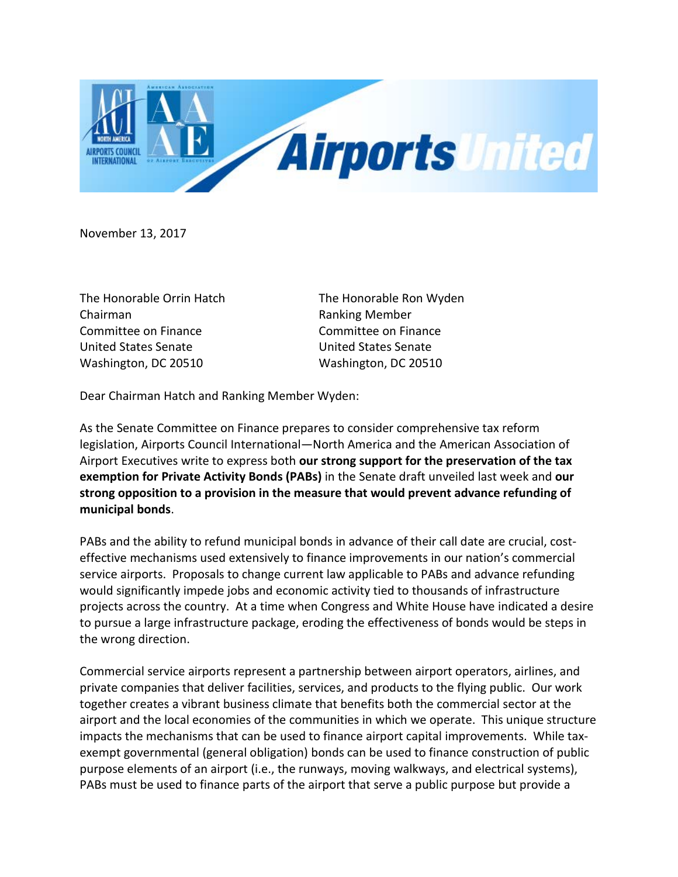

November 13, 2017

The Honorable Ron Wyden Ranking Member Committee on Finance **United States Senate** Washington, DC 20510

Dear Chairman Hatch and Ranking Member Wyden:

As the Senate Committee on Finance prepares to consider comprehensive tax reform legislation, Airports Council International—North America and the American Association of Airport Executives write to express both **our strong support for the preservation of the tax exemption for Private Activity Bonds (PABs)** in the Senate draft unveiled last week and **our strong opposition to a provision in the measure that would prevent advance refunding of municipal bonds**.

PABs and the ability to refund municipal bonds in advance of their call date are crucial, costeffective mechanisms used extensively to finance improvements in our nation's commercial service airports. Proposals to change current law applicable to PABs and advance refunding would significantly impede jobs and economic activity tied to thousands of infrastructure projects across the country. At a time when Congress and White House have indicated a desire to pursue a large infrastructure package, eroding the effectiveness of bonds would be steps in the wrong direction.

Commercial service airports represent a partnership between airport operators, airlines, and private companies that deliver facilities, services, and products to the flying public. Our work together creates a vibrant business climate that benefits both the commercial sector at the airport and the local economies of the communities in which we operate. This unique structure impacts the mechanisms that can be used to finance airport capital improvements. While taxexempt governmental (general obligation) bonds can be used to finance construction of public purpose elements of an airport (i.e., the runways, moving walkways, and electrical systems), PABs must be used to finance parts of the airport that serve a public purpose but provide a